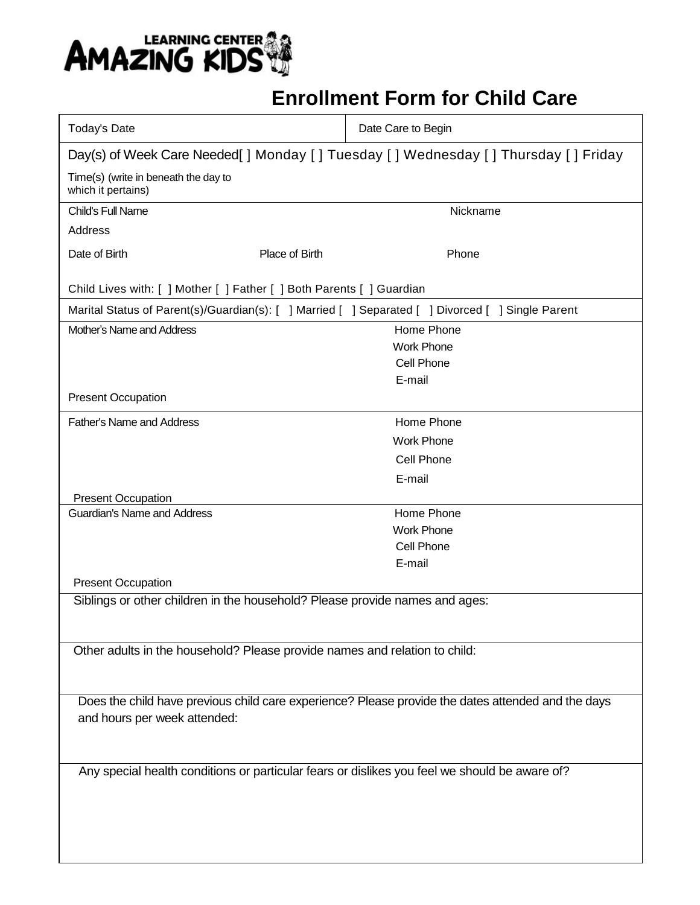

## **Enrollment Form for Child Care**

| <b>Today's Date</b>                                                                                |                | Date Care to Begin                                                                                |  |  |
|----------------------------------------------------------------------------------------------------|----------------|---------------------------------------------------------------------------------------------------|--|--|
| Day(s) of Week Care Needed[] Monday [] Tuesday [] Wednesday [] Thursday [] Friday                  |                |                                                                                                   |  |  |
| Time(s) (write in beneath the day to<br>which it pertains)                                         |                |                                                                                                   |  |  |
| Child's Full Name                                                                                  |                | Nickname                                                                                          |  |  |
| Address                                                                                            |                |                                                                                                   |  |  |
| Date of Birth                                                                                      | Place of Birth | Phone                                                                                             |  |  |
| Child Lives with: [ ] Mother [ ] Father [ ] Both Parents [ ] Guardian                              |                |                                                                                                   |  |  |
|                                                                                                    |                | Marital Status of Parent(s)/Guardian(s): [ ] Married [ ] Separated [ ] Divorced [ ] Single Parent |  |  |
| Mother's Name and Address                                                                          |                | Home Phone                                                                                        |  |  |
|                                                                                                    |                | <b>Work Phone</b>                                                                                 |  |  |
|                                                                                                    |                | Cell Phone                                                                                        |  |  |
|                                                                                                    |                | E-mail                                                                                            |  |  |
| <b>Present Occupation</b>                                                                          |                |                                                                                                   |  |  |
| <b>Father's Name and Address</b>                                                                   |                | Home Phone                                                                                        |  |  |
|                                                                                                    |                | <b>Work Phone</b>                                                                                 |  |  |
|                                                                                                    |                | Cell Phone                                                                                        |  |  |
|                                                                                                    |                | E-mail                                                                                            |  |  |
| <b>Present Occupation</b>                                                                          |                |                                                                                                   |  |  |
| <b>Guardian's Name and Address</b>                                                                 |                | Home Phone                                                                                        |  |  |
|                                                                                                    |                | <b>Work Phone</b>                                                                                 |  |  |
|                                                                                                    |                | Cell Phone                                                                                        |  |  |
|                                                                                                    |                | E-mail                                                                                            |  |  |
| <b>Present Occupation</b>                                                                          |                |                                                                                                   |  |  |
| Siblings or other children in the household? Please provide names and ages:                        |                |                                                                                                   |  |  |
|                                                                                                    |                |                                                                                                   |  |  |
|                                                                                                    |                |                                                                                                   |  |  |
| Other adults in the household? Please provide names and relation to child:                         |                |                                                                                                   |  |  |
|                                                                                                    |                |                                                                                                   |  |  |
| Does the child have previous child care experience? Please provide the dates attended and the days |                |                                                                                                   |  |  |
| and hours per week attended:                                                                       |                |                                                                                                   |  |  |
|                                                                                                    |                |                                                                                                   |  |  |
|                                                                                                    |                |                                                                                                   |  |  |
| Any special health conditions or particular fears or dislikes you feel we should be aware of?      |                |                                                                                                   |  |  |
|                                                                                                    |                |                                                                                                   |  |  |
|                                                                                                    |                |                                                                                                   |  |  |
|                                                                                                    |                |                                                                                                   |  |  |
|                                                                                                    |                |                                                                                                   |  |  |